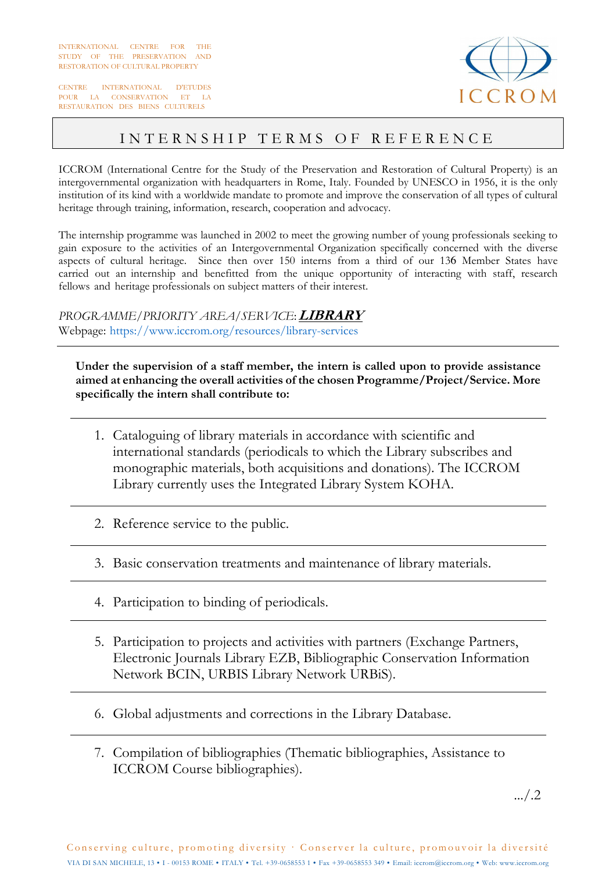CENTRE INTERNATIONAL D'ETUDES POUR LA CONSERVATION ET LA RESTAURATION DES BIENS CULTURELS



## INTERNSHIP TERMS OF REFERENCE

ICCROM (International Centre for the Study of the Preservation and Restoration of Cultural Property) is an intergovernmental organization with headquarters in Rome, Italy. Founded by UNESCO in 1956, it is the only institution of its kind with a worldwide mandate to promote and improve the conservation of all types of cultural heritage through training, information, research, cooperation and advocacy.

The internship programme was launched in 2002 to meet the growing number of young professionals seeking to gain exposure to the activities of an Intergovernmental Organization specifically concerned with the diverse aspects of cultural heritage. Since then over 150 interns from a third of our 136 Member States have carried out an internship and benefitted from the unique opportunity of interacting with staff, research fellows and heritage professionals on subject matters of their interest.

*PROGRAMME/PRIORITY AREA/SERVICE*: **LIBRARY** Webpage: https://www.iccrom.org/resources/library-services

**Under the supervision of a staff member, the intern is called upon to provide assistance aimed at enhancing the overall activities of the chosen Programme/Project/Service. More specifically the intern shall contribute to:** 

- 1. Cataloguing of library materials in accordance with scientific and international standards (periodicals to which the Library subscribes and monographic materials, both acquisitions and donations). The ICCROM Library currently uses the Integrated Library System KOHA.
- 2. Reference service to the public.
- 3. Basic conservation treatments and maintenance of library materials.
- 4. Participation to binding of periodicals.
- 5. Participation to projects and activities with partners (Exchange Partners, Electronic Journals Library EZB, Bibliographic Conservation Information Network BCIN, URBIS Library Network URBiS).
- 6. Global adjustments and corrections in the Library Database.
- 7. Compilation of bibliographies (Thematic bibliographies, Assistance to ICCROM Course bibliographies).

.../.2